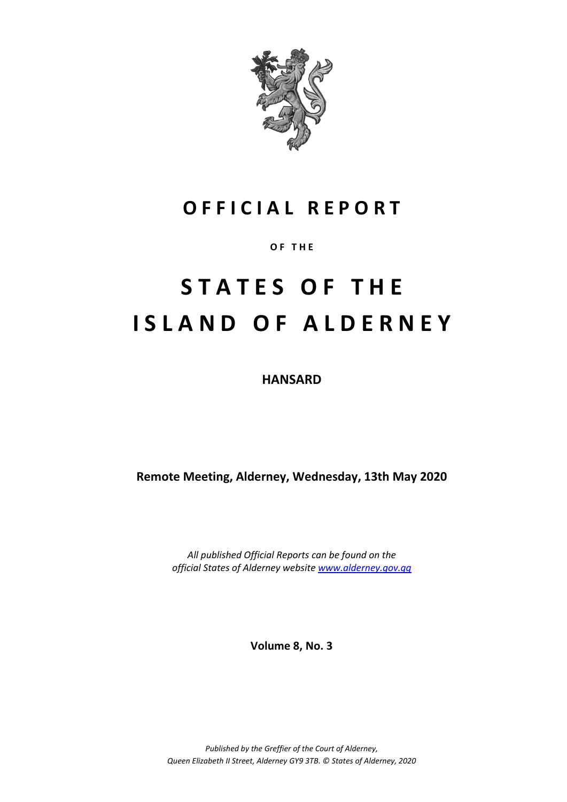

# **O F F I C I A L R E P O R T**

**O F T H E**

# **S T A T E S O F T H E I S L A N D O F A L D E R N E Y**

**HANSARD**

**Remote Meeting, Alderney, Wednesday, 13th May 2020**

*All published Official Reports can be found on the official States of Alderney website [www.alderney.gov.gg](http://www.alderney.gov.gg/)*

**Volume 8, No. 3**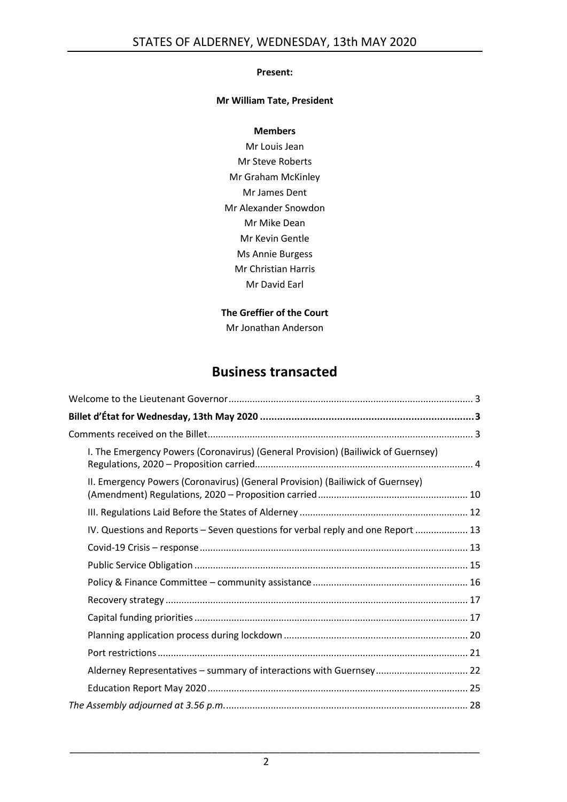#### **Present:**

#### **Mr William Tate, President**

#### **Members**

Mr Louis Jean Mr Steve Roberts Mr Graham McKinley Mr James Dent Mr Alexander Snowdon Mr Mike Dean Mr Kevin Gentle Ms Annie Burgess Mr Christian Harris Mr David Earl

#### **The Greffier of the Court**

Mr Jonathan Anderson

# **Business transacted**

| I. The Emergency Powers (Coronavirus) (General Provision) (Bailiwick of Guernsey) |
|-----------------------------------------------------------------------------------|
| II. Emergency Powers (Coronavirus) (General Provision) (Bailiwick of Guernsey)    |
|                                                                                   |
| IV. Questions and Reports - Seven questions for verbal reply and one Report  13   |
|                                                                                   |
|                                                                                   |
|                                                                                   |
|                                                                                   |
|                                                                                   |
|                                                                                   |
|                                                                                   |
| Alderney Representatives - summary of interactions with Guernsey 22               |
|                                                                                   |
|                                                                                   |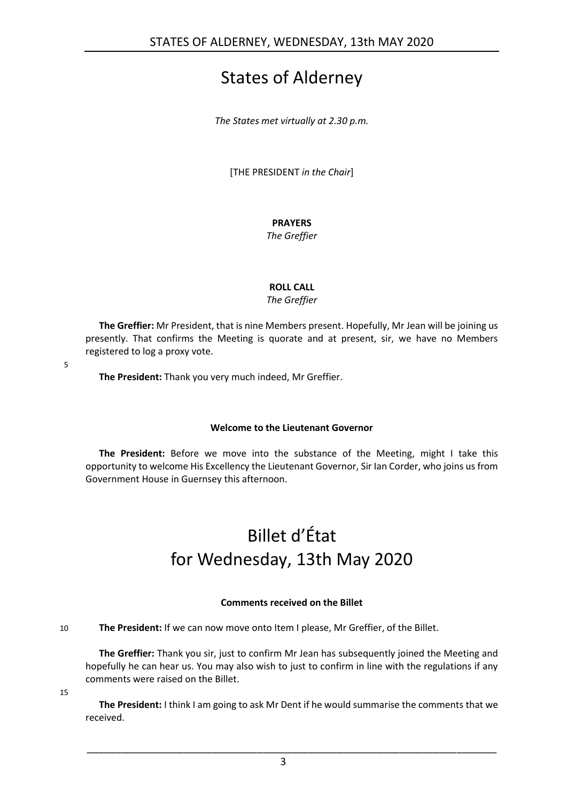# States of Alderney

*The States met virtually at 2.30 p.m.*

[THE PRESIDENT *in the Chair*]

### **PRAYERS**

*The Greffier*

#### **ROLL CALL**

*The Greffier*

**The Greffier:** Mr President, that is nine Members present. Hopefully, Mr Jean will be joining us presently. That confirms the Meeting is quorate and at present, sir, we have no Members registered to log a proxy vote.

5

**The President:** Thank you very much indeed, Mr Greffier.

#### **Welcome to the Lieutenant Governor**

<span id="page-2-1"></span><span id="page-2-0"></span>**The President:** Before we move into the substance of the Meeting, might I take this opportunity to welcome His Excellency the Lieutenant Governor, Sir Ian Corder, who joins us from Government House in Guernsey this afternoon.

# Billet d'État for Wednesday, 13th May 2020

#### **Comments received on the Billet**

<span id="page-2-2"></span>10 **The President:** If we can now move onto Item I please, Mr Greffier, of the Billet.

**The Greffier:** Thank you sir, just to confirm Mr Jean has subsequently joined the Meeting and hopefully he can hear us. You may also wish to just to confirm in line with the regulations if any comments were raised on the Billet.

15

**The President:** I think I am going to ask Mr Dent if he would summarise the comments that we received.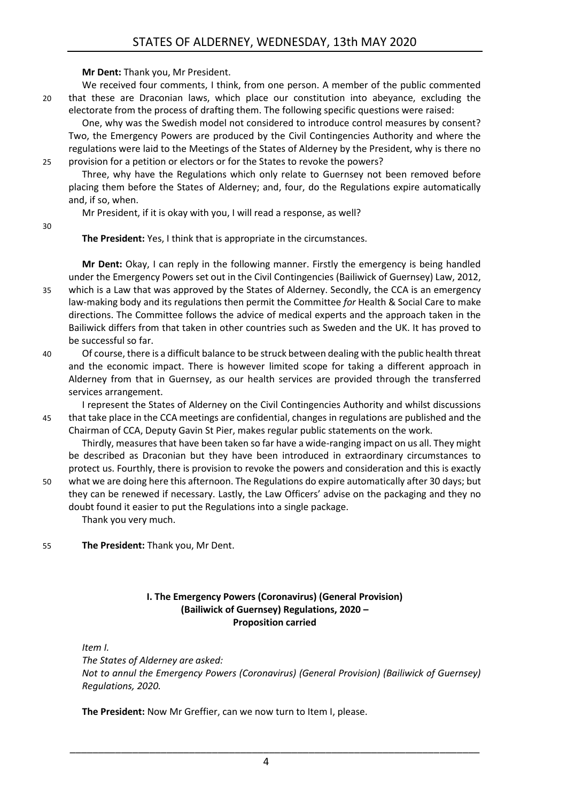**Mr Dent:** Thank you, Mr President.

We received four comments, I think, from one person. A member of the public commented 20 that these are Draconian laws, which place our constitution into abeyance, excluding the electorate from the process of drafting them. The following specific questions were raised:

One, why was the Swedish model not considered to introduce control measures by consent? Two, the Emergency Powers are produced by the Civil Contingencies Authority and where the regulations were laid to the Meetings of the States of Alderney by the President, why is there no 25 provision for a petition or electors or for the States to revoke the powers?

Three, why have the Regulations which only relate to Guernsey not been removed before placing them before the States of Alderney; and, four, do the Regulations expire automatically and, if so, when.

Mr President, if it is okay with you, I will read a response, as well?

30

**The President:** Yes, I think that is appropriate in the circumstances.

**Mr Dent:** Okay, I can reply in the following manner. Firstly the emergency is being handled under the Emergency Powers set out in the Civil Contingencies (Bailiwick of Guernsey) Law, 2012,

- 35 which is a Law that was approved by the States of Alderney. Secondly, the CCA is an emergency law-making body and its regulations then permit the Committee *for* Health & Social Care to make directions. The Committee follows the advice of medical experts and the approach taken in the Bailiwick differs from that taken in other countries such as Sweden and the UK. It has proved to be successful so far.
- 40 Of course, there is a difficult balance to be struck between dealing with the public health threat and the economic impact. There is however limited scope for taking a different approach in Alderney from that in Guernsey, as our health services are provided through the transferred services arrangement.

I represent the States of Alderney on the Civil Contingencies Authority and whilst discussions 45 that take place in the CCA meetings are confidential, changes in regulations are published and the Chairman of CCA, Deputy Gavin St Pier, makes regular public statements on the work.

Thirdly, measures that have been taken so far have a wide-ranging impact on us all. They might be described as Draconian but they have been introduced in extraordinary circumstances to protect us. Fourthly, there is provision to revoke the powers and consideration and this is exactly

50 what we are doing here this afternoon. The Regulations do expire automatically after 30 days; but they can be renewed if necessary. Lastly, the Law Officers' advise on the packaging and they no doubt found it easier to put the Regulations into a single package. Thank you very much.

55 **The President:** Thank you, Mr Dent.

#### **I. The Emergency Powers (Coronavirus) (General Provision) (Bailiwick of Guernsey) Regulations, 2020 – Proposition carried**

<span id="page-3-0"></span>*Item I.*

*The States of Alderney are asked: Not to annul the Emergency Powers (Coronavirus) (General Provision) (Bailiwick of Guernsey) Regulations, 2020.*

**The President:** Now Mr Greffier, can we now turn to Item I, please.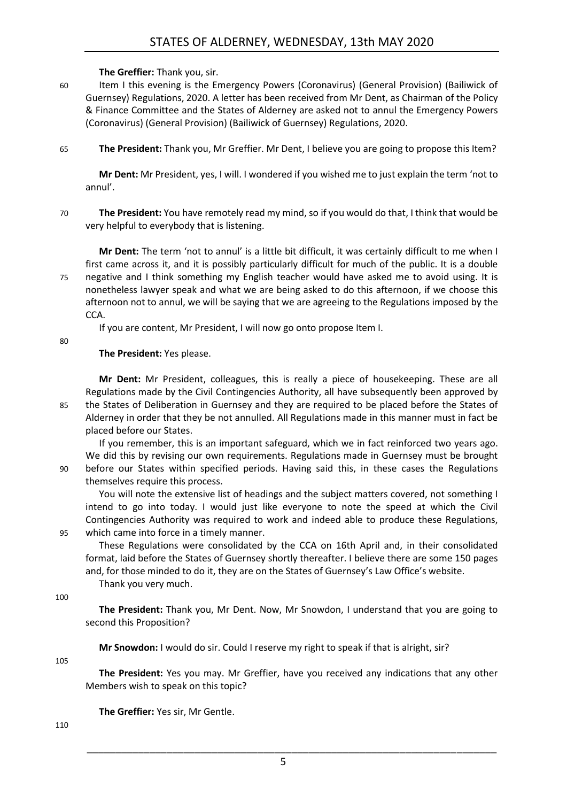#### **The Greffier:** Thank you, sir.

60 Item I this evening is the Emergency Powers (Coronavirus) (General Provision) (Bailiwick of Guernsey) Regulations, 2020. A letter has been received from Mr Dent, as Chairman of the Policy & Finance Committee and the States of Alderney are asked not to annul the Emergency Powers (Coronavirus) (General Provision) (Bailiwick of Guernsey) Regulations, 2020.

65 **The President:** Thank you, Mr Greffier. Mr Dent, I believe you are going to propose this Item?

**Mr Dent:** Mr President, yes, I will. I wondered if you wished me to just explain the term 'not to annul'.

70 **The President:** You have remotely read my mind, so if you would do that, I think that would be very helpful to everybody that is listening.

**Mr Dent:** The term 'not to annul' is a little bit difficult, it was certainly difficult to me when I first came across it, and it is possibly particularly difficult for much of the public. It is a double 75 negative and I think something my English teacher would have asked me to avoid using. It is nonetheless lawyer speak and what we are being asked to do this afternoon, if we choose this afternoon not to annul, we will be saying that we are agreeing to the Regulations imposed by the CCA.

If you are content, Mr President, I will now go onto propose Item I.

80

#### **The President:** Yes please.

**Mr Dent:** Mr President, colleagues, this is really a piece of housekeeping. These are all Regulations made by the Civil Contingencies Authority, all have subsequently been approved by 85 the States of Deliberation in Guernsey and they are required to be placed before the States of Alderney in order that they be not annulled. All Regulations made in this manner must in fact be placed before our States.

If you remember, this is an important safeguard, which we in fact reinforced two years ago. We did this by revising our own requirements. Regulations made in Guernsey must be brought 90 before our States within specified periods. Having said this, in these cases the Regulations themselves require this process.

You will note the extensive list of headings and the subject matters covered, not something I intend to go into today. I would just like everyone to note the speed at which the Civil Contingencies Authority was required to work and indeed able to produce these Regulations, 95 which came into force in a timely manner.

These Regulations were consolidated by the CCA on 16th April and, in their consolidated format, laid before the States of Guernsey shortly thereafter. I believe there are some 150 pages and, for those minded to do it, they are on the States of Guernsey's Law Office's website. Thank you very much.

100

**The President:** Thank you, Mr Dent. Now, Mr Snowdon, I understand that you are going to second this Proposition?

**Mr Snowdon:** I would do sir. Could I reserve my right to speak if that is alright, sir?

105

**The President:** Yes you may. Mr Greffier, have you received any indications that any other Members wish to speak on this topic?

**The Greffier:** Yes sir, Mr Gentle.

110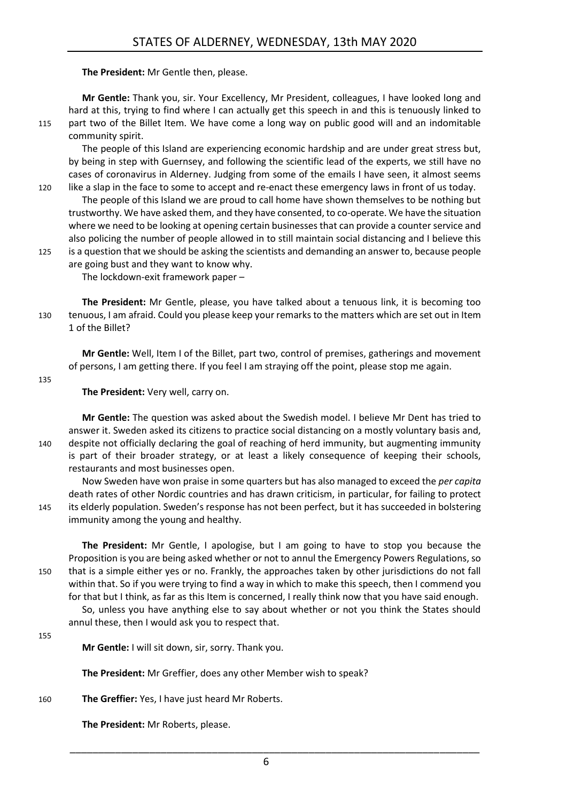**The President:** Mr Gentle then, please.

**Mr Gentle:** Thank you, sir. Your Excellency, Mr President, colleagues, I have looked long and hard at this, trying to find where I can actually get this speech in and this is tenuously linked to 115 part two of the Billet Item. We have come a long way on public good will and an indomitable community spirit.

The people of this Island are experiencing economic hardship and are under great stress but, by being in step with Guernsey, and following the scientific lead of the experts, we still have no cases of coronavirus in Alderney. Judging from some of the emails I have seen, it almost seems 120 like a slap in the face to some to accept and re-enact these emergency laws in front of us today.

The people of this Island we are proud to call home have shown themselves to be nothing but trustworthy. We have asked them, and they have consented, to co-operate. We have the situation where we need to be looking at opening certain businesses that can provide a counter service and also policing the number of people allowed in to still maintain social distancing and I believe this 125 is a question that we should be asking the scientists and demanding an answer to, because people

are going bust and they want to know why. The lockdown-exit framework paper –

**The President:** Mr Gentle, please, you have talked about a tenuous link, it is becoming too 130 tenuous, I am afraid. Could you please keep your remarks to the matters which are set out in Item 1 of the Billet?

**Mr Gentle:** Well, Item I of the Billet, part two, control of premises, gatherings and movement of persons, I am getting there. If you feel I am straying off the point, please stop me again.

135

#### **The President:** Very well, carry on.

**Mr Gentle:** The question was asked about the Swedish model. I believe Mr Dent has tried to answer it. Sweden asked its citizens to practice social distancing on a mostly voluntary basis and, 140 despite not officially declaring the goal of reaching of herd immunity, but augmenting immunity is part of their broader strategy, or at least a likely consequence of keeping their schools, restaurants and most businesses open.

Now Sweden have won praise in some quarters but has also managed to exceed the *per capita*  death rates of other Nordic countries and has drawn criticism, in particular, for failing to protect 145 its elderly population. Sweden's response has not been perfect, but it has succeeded in bolstering immunity among the young and healthy.

**The President:** Mr Gentle, I apologise, but I am going to have to stop you because the Proposition is you are being asked whether or not to annul the Emergency Powers Regulations, so 150 that is a simple either yes or no. Frankly, the approaches taken by other jurisdictions do not fall within that. So if you were trying to find a way in which to make this speech, then I commend you for that but I think, as far as this Item is concerned, I really think now that you have said enough.

So, unless you have anything else to say about whether or not you think the States should annul these, then I would ask you to respect that.

155

**Mr Gentle:** I will sit down, sir, sorry. Thank you.

**The President:** Mr Greffier, does any other Member wish to speak?

160 **The Greffier:** Yes, I have just heard Mr Roberts.

**The President:** Mr Roberts, please.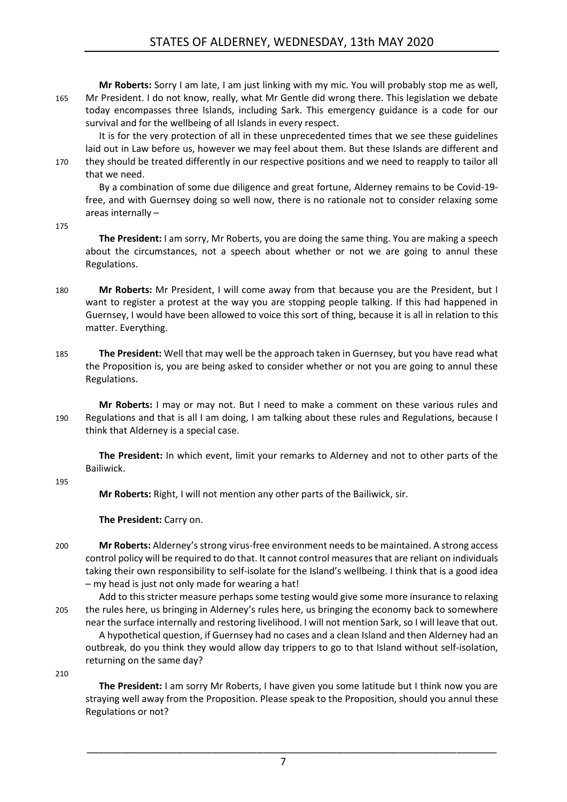**Mr Roberts:** Sorry I am late, I am just linking with my mic. You will probably stop me as well, 165 Mr President. I do not know, really, what Mr Gentle did wrong there. This legislation we debate today encompasses three Islands, including Sark. This emergency guidance is a code for our survival and for the wellbeing of all Islands in every respect.

It is for the very protection of all in these unprecedented times that we see these guidelines laid out in Law before us, however we may feel about them. But these Islands are different and 170 they should be treated differently in our respective positions and we need to reapply to tailor all that we need.

By a combination of some due diligence and great fortune, Alderney remains to be Covid-19 free, and with Guernsey doing so well now, there is no rationale not to consider relaxing some areas internally –

175

**The President:** I am sorry, Mr Roberts, you are doing the same thing. You are making a speech about the circumstances, not a speech about whether or not we are going to annul these Regulations.

- 180 **Mr Roberts:** Mr President, I will come away from that because you are the President, but I want to register a protest at the way you are stopping people talking. If this had happened in Guernsey, I would have been allowed to voice this sort of thing, because it is all in relation to this matter. Everything.
- 185 **The President:** Well that may well be the approach taken in Guernsey, but you have read what the Proposition is, you are being asked to consider whether or not you are going to annul these Regulations.

**Mr Roberts:** I may or may not. But I need to make a comment on these various rules and 190 Regulations and that is all I am doing, I am talking about these rules and Regulations, because I think that Alderney is a special case.

**The President:** In which event, limit your remarks to Alderney and not to other parts of the Bailiwick.

195

**Mr Roberts:** Right, I will not mention any other parts of the Bailiwick, sir.

**The President:** Carry on.

- 200 **Mr Roberts:** Alderney's strong virus-free environment needs to be maintained. A strong access control policy will be required to do that. It cannot control measures that are reliant on individuals taking their own responsibility to self-isolate for the Island's wellbeing. I think that is a good idea – my head is just not only made for wearing a hat!
- Add to this stricter measure perhaps some testing would give some more insurance to relaxing 205 the rules here, us bringing in Alderney's rules here, us bringing the economy back to somewhere near the surface internally and restoring livelihood. I will not mention Sark, so I will leave that out. A hypothetical question, if Guernsey had no cases and a clean Island and then Alderney had an outbreak, do you think they would allow day trippers to go to that Island without self-isolation, returning on the same day?

210

**The President:** I am sorry Mr Roberts, I have given you some latitude but I think now you are straying well away from the Proposition. Please speak to the Proposition, should you annul these Regulations or not?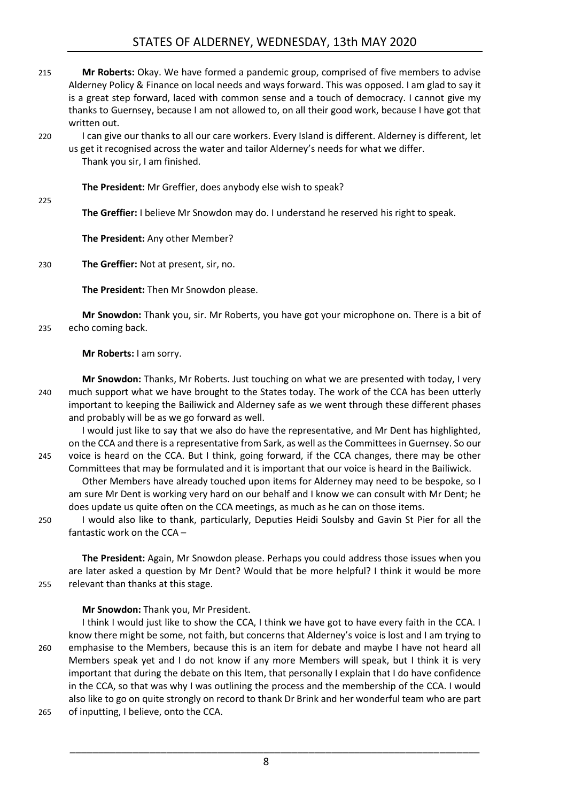# STATES OF ALDERNEY, WEDNESDAY, 13th MAY 2020

- 215 **Mr Roberts:** Okay. We have formed a pandemic group, comprised of five members to advise Alderney Policy & Finance on local needs and ways forward. This was opposed. I am glad to say it is a great step forward, laced with common sense and a touch of democracy. I cannot give my thanks to Guernsey, because I am not allowed to, on all their good work, because I have got that written out.
- 220 I can give our thanks to all our care workers. Every Island is different. Alderney is different, let us get it recognised across the water and tailor Alderney's needs for what we differ. Thank you sir, I am finished.

**The President:** Mr Greffier, does anybody else wish to speak?

225

**The Greffier:** I believe Mr Snowdon may do. I understand he reserved his right to speak.

**The President:** Any other Member?

230 **The Greffier:** Not at present, sir, no.

**The President:** Then Mr Snowdon please.

**Mr Snowdon:** Thank you, sir. Mr Roberts, you have got your microphone on. There is a bit of 235 echo coming back.

**Mr Roberts:** I am sorry.

**Mr Snowdon:** Thanks, Mr Roberts. Just touching on what we are presented with today, I very 240 much support what we have brought to the States today. The work of the CCA has been utterly important to keeping the Bailiwick and Alderney safe as we went through these different phases and probably will be as we go forward as well.

I would just like to say that we also do have the representative, and Mr Dent has highlighted, on the CCA and there is a representative from Sark, as well as the Committees in Guernsey. So our 245 voice is heard on the CCA. But I think, going forward, if the CCA changes, there may be other

- Committees that may be formulated and it is important that our voice is heard in the Bailiwick. Other Members have already touched upon items for Alderney may need to be bespoke, so I am sure Mr Dent is working very hard on our behalf and I know we can consult with Mr Dent; he does update us quite often on the CCA meetings, as much as he can on those items.
- 250 I would also like to thank, particularly, Deputies Heidi Soulsby and Gavin St Pier for all the fantastic work on the CCA –

**The President:** Again, Mr Snowdon please. Perhaps you could address those issues when you are later asked a question by Mr Dent? Would that be more helpful? I think it would be more 255 relevant than thanks at this stage.

#### **Mr Snowdon:** Thank you, Mr President.

I think I would just like to show the CCA, I think we have got to have every faith in the CCA. I know there might be some, not faith, but concerns that Alderney's voice is lost and I am trying to 260 emphasise to the Members, because this is an item for debate and maybe I have not heard all Members speak yet and I do not know if any more Members will speak, but I think it is very important that during the debate on this Item, that personally I explain that I do have confidence in the CCA, so that was why I was outlining the process and the membership of the CCA. I would also like to go on quite strongly on record to thank Dr Brink and her wonderful team who are part 265 of inputting, I believe, onto the CCA.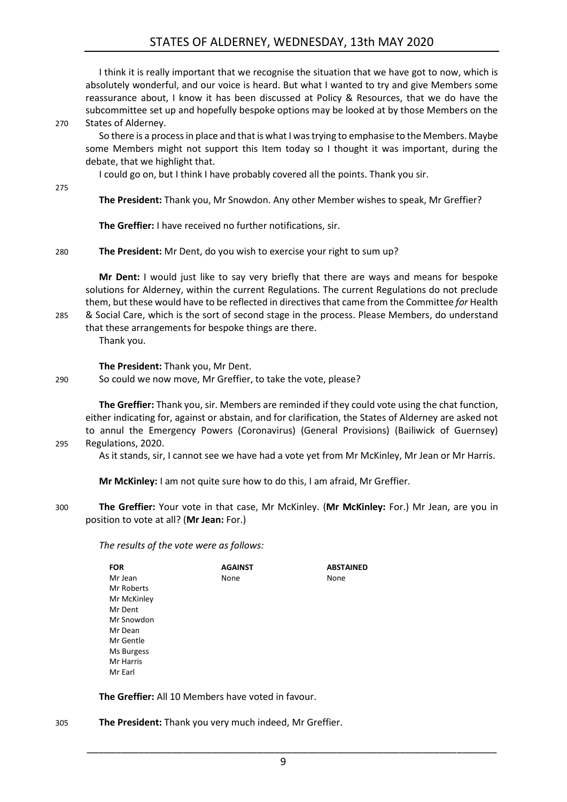## STATES OF ALDERNEY, WEDNESDAY, 13th MAY 2020

I think it is really important that we recognise the situation that we have got to now, which is absolutely wonderful, and our voice is heard. But what I wanted to try and give Members some reassurance about, I know it has been discussed at Policy & Resources, that we do have the subcommittee set up and hopefully bespoke options may be looked at by those Members on the 270 States of Alderney.

So there is a process in place and that is what I was trying to emphasise to the Members. Maybe some Members might not support this Item today so I thought it was important, during the debate, that we highlight that.

I could go on, but I think I have probably covered all the points. Thank you sir.

275

**The President:** Thank you, Mr Snowdon. Any other Member wishes to speak, Mr Greffier?

**The Greffier:** I have received no further notifications, sir.

#### 280 **The President:** Mr Dent, do you wish to exercise your right to sum up?

**Mr Dent:** I would just like to say very briefly that there are ways and means for bespoke solutions for Alderney, within the current Regulations. The current Regulations do not preclude them, but these would have to be reflected in directives that came from the Committee *for* Health 285 & Social Care, which is the sort of second stage in the process. Please Members, do understand

that these arrangements for bespoke things are there. Thank you.

**The President:** Thank you, Mr Dent.

290 So could we now move, Mr Greffier, to take the vote, please?

**The Greffier:** Thank you, sir. Members are reminded if they could vote using the chat function, either indicating for, against or abstain, and for clarification, the States of Alderney are asked not to annul the Emergency Powers (Coronavirus) (General Provisions) (Bailiwick of Guernsey) 295 Regulations, 2020.

As it stands, sir, I cannot see we have had a vote yet from Mr McKinley, Mr Jean or Mr Harris.

**Mr McKinley:** I am not quite sure how to do this, I am afraid, Mr Greffier.

300 **The Greffier:** Your vote in that case, Mr McKinley. (**Mr McKinley:** For.) Mr Jean, are you in position to vote at all? (**Mr Jean:** For.)

*The results of the vote were as follows:*

| <b>FOR</b>  | <b>AGAINST</b> | <b>ABSTAINED</b> |
|-------------|----------------|------------------|
| Mr Jean     | None           | None             |
| Mr Roberts  |                |                  |
| Mr McKinley |                |                  |
| Mr Dent     |                |                  |
| Mr Snowdon  |                |                  |
| Mr Dean     |                |                  |
| Mr Gentle   |                |                  |
| Ms Burgess  |                |                  |
| Mr Harris   |                |                  |
| Mr Earl     |                |                  |

**The Greffier:** All 10 Members have voted in favour.

305 **The President:** Thank you very much indeed, Mr Greffier.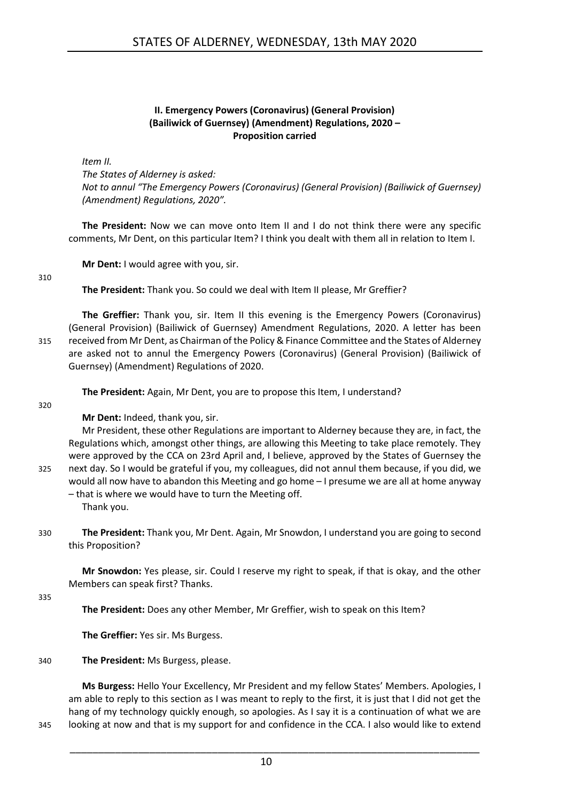#### **II. Emergency Powers (Coronavirus) (General Provision) (Bailiwick of Guernsey) (Amendment) Regulations, 2020 – Proposition carried**

<span id="page-9-0"></span>*Item II.*

*The States of Alderney is asked:*

*Not to annul "The Emergency Powers (Coronavirus) (General Provision) (Bailiwick of Guernsey) (Amendment) Regulations, 2020".* 

**The President:** Now we can move onto Item II and I do not think there were any specific comments, Mr Dent, on this particular Item? I think you dealt with them all in relation to Item I.

**Mr Dent:** I would agree with you, sir.

310

**The President:** Thank you. So could we deal with Item II please, Mr Greffier?

**The Greffier:** Thank you, sir. Item II this evening is the Emergency Powers (Coronavirus) (General Provision) (Bailiwick of Guernsey) Amendment Regulations, 2020. A letter has been 315 received from Mr Dent, as Chairman of the Policy & Finance Committee and the States of Alderney are asked not to annul the Emergency Powers (Coronavirus) (General Provision) (Bailiwick of Guernsey) (Amendment) Regulations of 2020.

**The President:** Again, Mr Dent, you are to propose this Item, I understand?

320

**Mr Dent:** Indeed, thank you, sir.

Mr President, these other Regulations are important to Alderney because they are, in fact, the Regulations which, amongst other things, are allowing this Meeting to take place remotely. They were approved by the CCA on 23rd April and, I believe, approved by the States of Guernsey the 325 next day. So I would be grateful if you, my colleagues, did not annul them because, if you did, we would all now have to abandon this Meeting and go home – I presume we are all at home anyway – that is where we would have to turn the Meeting off.

Thank you.

330 **The President:** Thank you, Mr Dent. Again, Mr Snowdon, I understand you are going to second this Proposition?

**Mr Snowdon:** Yes please, sir. Could I reserve my right to speak, if that is okay, and the other Members can speak first? Thanks.

335

**The President:** Does any other Member, Mr Greffier, wish to speak on this Item?

**The Greffier:** Yes sir. Ms Burgess.

#### 340 **The President:** Ms Burgess, please.

**Ms Burgess:** Hello Your Excellency, Mr President and my fellow States' Members. Apologies, I am able to reply to this section as I was meant to reply to the first, it is just that I did not get the hang of my technology quickly enough, so apologies. As I say it is a continuation of what we are 345 looking at now and that is my support for and confidence in the CCA. I also would like to extend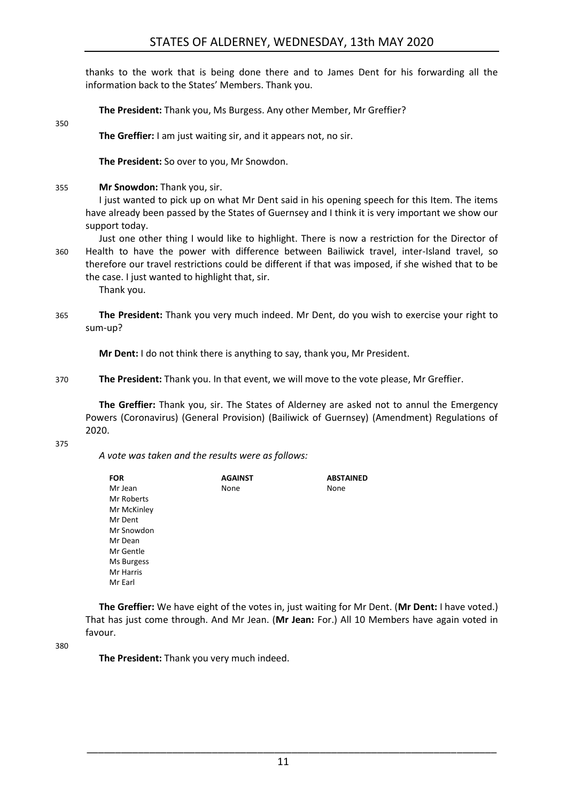thanks to the work that is being done there and to James Dent for his forwarding all the information back to the States' Members. Thank you.

**The President:** Thank you, Ms Burgess. Any other Member, Mr Greffier?

**The Greffier:** I am just waiting sir, and it appears not, no sir.

**The President:** So over to you, Mr Snowdon.

355 **Mr Snowdon:** Thank you, sir.

I just wanted to pick up on what Mr Dent said in his opening speech for this Item. The items have already been passed by the States of Guernsey and I think it is very important we show our support today.

Just one other thing I would like to highlight. There is now a restriction for the Director of 360 Health to have the power with difference between Bailiwick travel, inter-Island travel, so therefore our travel restrictions could be different if that was imposed, if she wished that to be the case. I just wanted to highlight that, sir.

Thank you.

365 **The President:** Thank you very much indeed. Mr Dent, do you wish to exercise your right to sum-up?

**Mr Dent:** I do not think there is anything to say, thank you, Mr President.

370 **The President:** Thank you. In that event, we will move to the vote please, Mr Greffier.

**The Greffier:** Thank you, sir. The States of Alderney are asked not to annul the Emergency Powers (Coronavirus) (General Provision) (Bailiwick of Guernsey) (Amendment) Regulations of 2020.

#### 375

350

*A vote was taken and the results were as follows:*

| <b>FOR</b>  | <b>AGAINST</b> | <b>ABSTAINED</b> |
|-------------|----------------|------------------|
| Mr Jean     | None           | None             |
| Mr Roberts  |                |                  |
| Mr McKinley |                |                  |
| Mr Dent     |                |                  |
| Mr Snowdon  |                |                  |
| Mr Dean     |                |                  |
| Mr Gentle   |                |                  |
| Ms Burgess  |                |                  |
| Mr Harris   |                |                  |
| Mr Earl     |                |                  |

**The Greffier:** We have eight of the votes in, just waiting for Mr Dent. (**Mr Dent:** I have voted.) That has just come through. And Mr Jean. (**Mr Jean:** For.) All 10 Members have again voted in favour.

380

**The President:** Thank you very much indeed.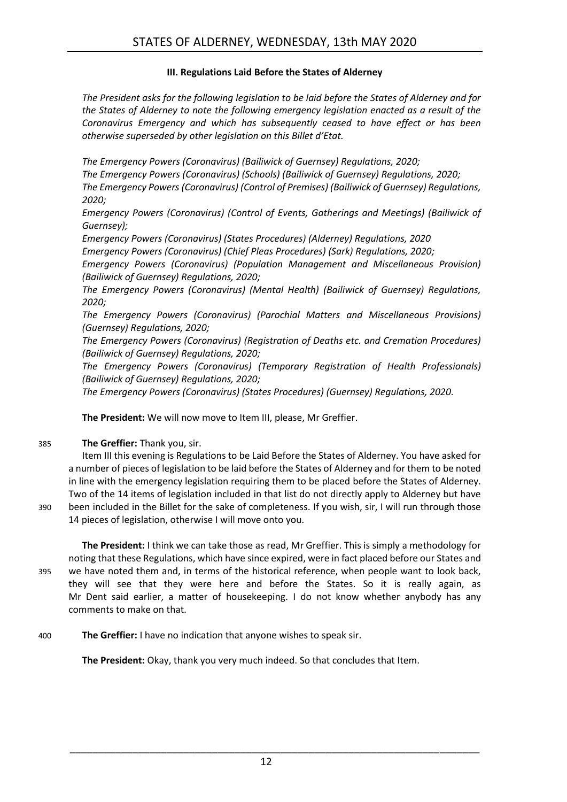#### **III. Regulations Laid Before the States of Alderney**

<span id="page-11-0"></span>*The President asks for the following legislation to be laid before the States of Alderney and for the States of Alderney to note the following emergency legislation enacted as a result of the Coronavirus Emergency and which has subsequently ceased to have effect or has been otherwise superseded by other legislation on this Billet d'Etat.* 

*The Emergency Powers (Coronavirus) (Bailiwick of Guernsey) Regulations, 2020; The Emergency Powers (Coronavirus) (Schools) (Bailiwick of Guernsey) Regulations, 2020; The Emergency Powers (Coronavirus) (Control of Premises) (Bailiwick of Guernsey) Regulations, 2020;*

*Emergency Powers (Coronavirus) (Control of Events, Gatherings and Meetings) (Bailiwick of Guernsey);*

*Emergency Powers (Coronavirus) (States Procedures) (Alderney) Regulations, 2020*

*Emergency Powers (Coronavirus) (Chief Pleas Procedures) (Sark) Regulations, 2020; Emergency Powers (Coronavirus) (Population Management and Miscellaneous Provision) (Bailiwick of Guernsey) Regulations, 2020;*

*The Emergency Powers (Coronavirus) (Mental Health) (Bailiwick of Guernsey) Regulations, 2020;*

*The Emergency Powers (Coronavirus) (Parochial Matters and Miscellaneous Provisions) (Guernsey) Regulations, 2020;*

*The Emergency Powers (Coronavirus) (Registration of Deaths etc. and Cremation Procedures) (Bailiwick of Guernsey) Regulations, 2020;*

*The Emergency Powers (Coronavirus) (Temporary Registration of Health Professionals) (Bailiwick of Guernsey) Regulations, 2020;*

*The Emergency Powers (Coronavirus) (States Procedures) (Guernsey) Regulations, 2020.*

**The President:** We will now move to Item III, please, Mr Greffier.

#### 385 **The Greffier:** Thank you, sir.

Item III this evening is Regulations to be Laid Before the States of Alderney. You have asked for a number of pieces of legislation to be laid before the States of Alderney and for them to be noted in line with the emergency legislation requiring them to be placed before the States of Alderney. Two of the 14 items of legislation included in that list do not directly apply to Alderney but have 390 been included in the Billet for the sake of completeness. If you wish, sir, I will run through those 14 pieces of legislation, otherwise I will move onto you.

**The President:** I think we can take those as read, Mr Greffier. This is simply a methodology for noting that these Regulations, which have since expired, were in fact placed before our States and 395 we have noted them and, in terms of the historical reference, when people want to look back, they will see that they were here and before the States. So it is really again, as Mr Dent said earlier, a matter of housekeeping. I do not know whether anybody has any comments to make on that.

400 **The Greffier:** I have no indication that anyone wishes to speak sir.

**The President:** Okay, thank you very much indeed. So that concludes that Item.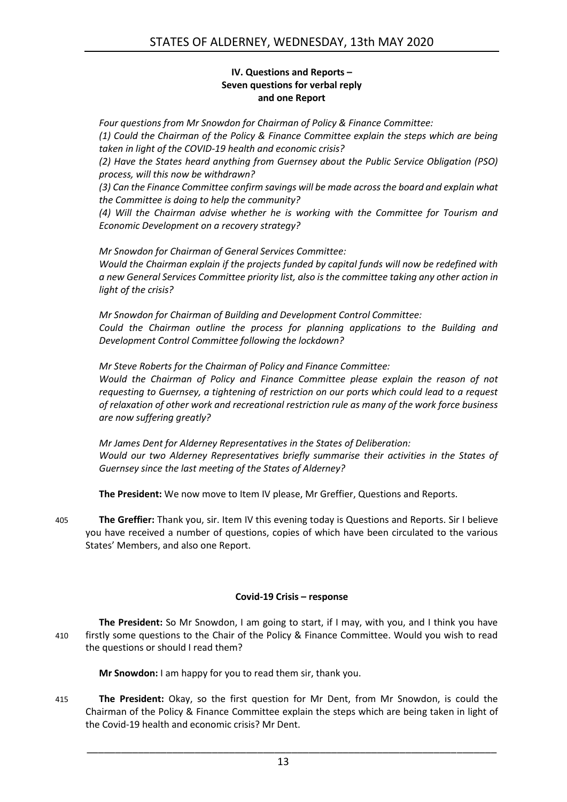#### **IV. Questions and Reports – Seven questions for verbal reply and one Report**

<span id="page-12-0"></span>*Four questions from Mr Snowdon for Chairman of Policy & Finance Committee: (1) Could the Chairman of the Policy & Finance Committee explain the steps which are being taken in light of the COVID-19 health and economic crisis?*

*(2) Have the States heard anything from Guernsey about the Public Service Obligation (PSO) process, will this now be withdrawn?*

*(3) Can the Finance Committee confirm savings will be made across the board and explain what the Committee is doing to help the community?*

*(4) Will the Chairman advise whether he is working with the Committee for Tourism and Economic Development on a recovery strategy?* 

*Mr Snowdon for Chairman of General Services Committee: Would the Chairman explain if the projects funded by capital funds will now be redefined with a new General Services Committee priority list, also is the committee taking any other action in light of the crisis?* 

*Mr Snowdon for Chairman of Building and Development Control Committee: Could the Chairman outline the process for planning applications to the Building and Development Control Committee following the lockdown?* 

*Mr Steve Roberts for the Chairman of Policy and Finance Committee: Would the Chairman of Policy and Finance Committee please explain the reason of not requesting to Guernsey, a tightening of restriction on our ports which could lead to a request of relaxation of other work and recreational restriction rule as many of the work force business are now suffering greatly?* 

*Mr James Dent for Alderney Representatives in the States of Deliberation: Would our two Alderney Representatives briefly summarise their activities in the States of Guernsey since the last meeting of the States of Alderney?* 

**The President:** We now move to Item IV please, Mr Greffier, Questions and Reports.

405 **The Greffier:** Thank you, sir. Item IV this evening today is Questions and Reports. Sir I believe you have received a number of questions, copies of which have been circulated to the various States' Members, and also one Report.

#### **Covid-19 Crisis – response**

<span id="page-12-1"></span>**The President:** So Mr Snowdon, I am going to start, if I may, with you, and I think you have 410 firstly some questions to the Chair of the Policy & Finance Committee. Would you wish to read the questions or should I read them?

**Mr Snowdon:** I am happy for you to read them sir, thank you.

415 **The President:** Okay, so the first question for Mr Dent, from Mr Snowdon, is could the Chairman of the Policy & Finance Committee explain the steps which are being taken in light of the Covid-19 health and economic crisis? Mr Dent.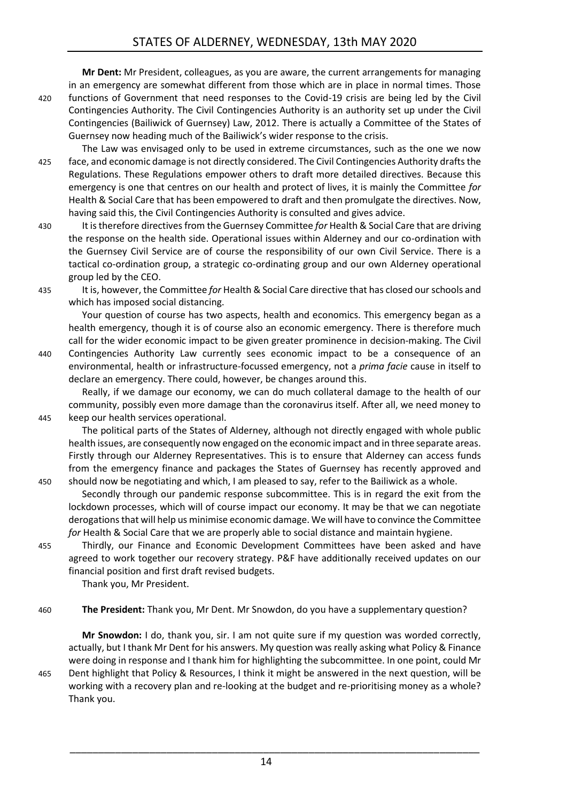**Mr Dent:** Mr President, colleagues, as you are aware, the current arrangements for managing in an emergency are somewhat different from those which are in place in normal times. Those

- 420 functions of Government that need responses to the Covid-19 crisis are being led by the Civil Contingencies Authority. The Civil Contingencies Authority is an authority set up under the Civil Contingencies (Bailiwick of Guernsey) Law, 2012. There is actually a Committee of the States of Guernsey now heading much of the Bailiwick's wider response to the crisis.
- The Law was envisaged only to be used in extreme circumstances, such as the one we now 425 face, and economic damage is not directly considered. The Civil Contingencies Authority drafts the Regulations. These Regulations empower others to draft more detailed directives. Because this emergency is one that centres on our health and protect of lives, it is mainly the Committee *for*  Health & Social Care that has been empowered to draft and then promulgate the directives. Now, having said this, the Civil Contingencies Authority is consulted and gives advice.
- 430 It is therefore directives from the Guernsey Committee *for* Health & Social Care that are driving the response on the health side. Operational issues within Alderney and our co-ordination with the Guernsey Civil Service are of course the responsibility of our own Civil Service. There is a tactical co-ordination group, a strategic co-ordinating group and our own Alderney operational group led by the CEO.
- 

435 It is, however, the Committee *for* Health & Social Care directive that has closed our schools and which has imposed social distancing.

Your question of course has two aspects, health and economics. This emergency began as a health emergency, though it is of course also an economic emergency. There is therefore much call for the wider economic impact to be given greater prominence in decision-making. The Civil 440 Contingencies Authority Law currently sees economic impact to be a consequence of an

environmental, health or infrastructure-focussed emergency, not a *prima facie* cause in itself to declare an emergency. There could, however, be changes around this.

Really, if we damage our economy, we can do much collateral damage to the health of our community, possibly even more damage than the coronavirus itself. After all, we need money to 445 keep our health services operational.

The political parts of the States of Alderney, although not directly engaged with whole public health issues, are consequently now engaged on the economic impact and in three separate areas. Firstly through our Alderney Representatives. This is to ensure that Alderney can access funds from the emergency finance and packages the States of Guernsey has recently approved and 450 should now be negotiating and which, I am pleased to say, refer to the Bailiwick as a whole.

- Secondly through our pandemic response subcommittee. This is in regard the exit from the lockdown processes, which will of course impact our economy. It may be that we can negotiate derogations that will help us minimise economic damage. We will have to convince the Committee for Health & Social Care that we are properly able to social distance and maintain hygiene.
- 455 Thirdly, our Finance and Economic Development Committees have been asked and have agreed to work together our recovery strategy. P&F have additionally received updates on our financial position and first draft revised budgets.

Thank you, Mr President.

460 **The President:** Thank you, Mr Dent. Mr Snowdon, do you have a supplementary question?

**Mr Snowdon:** I do, thank you, sir. I am not quite sure if my question was worded correctly, actually, but I thank Mr Dent for his answers. My question was really asking what Policy & Finance were doing in response and I thank him for highlighting the subcommittee. In one point, could Mr 465 Dent highlight that Policy & Resources, I think it might be answered in the next question, will be working with a recovery plan and re-looking at the budget and re-prioritising money as a whole? Thank you.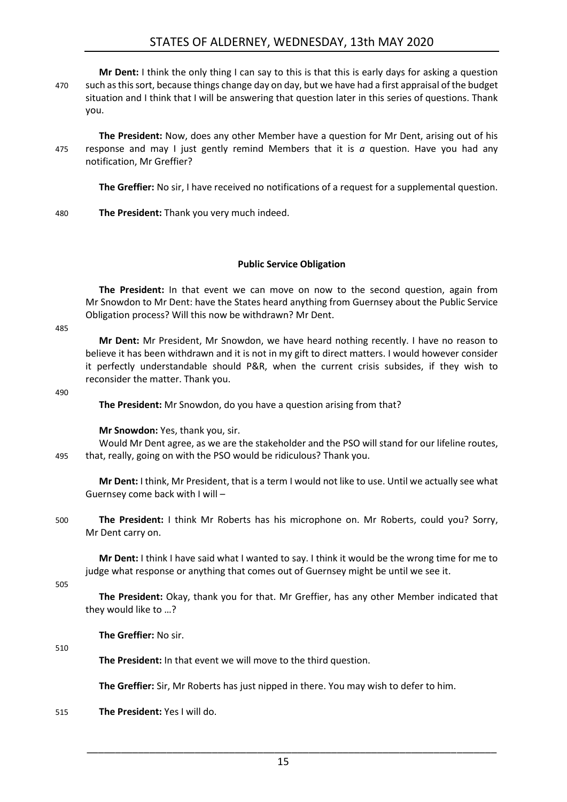## STATES OF ALDERNEY, WEDNESDAY, 13th MAY 2020

**Mr Dent:** I think the only thing I can say to this is that this is early days for asking a question 470 such as this sort, because things change day on day, but we have had a first appraisal of the budget situation and I think that I will be answering that question later in this series of questions. Thank you.

**The President:** Now, does any other Member have a question for Mr Dent, arising out of his 475 response and may I just gently remind Members that it is *a* question. Have you had any notification, Mr Greffier?

**The Greffier:** No sir, I have received no notifications of a request for a supplemental question.

480 **The President:** Thank you very much indeed.

#### **Public Service Obligation**

<span id="page-14-0"></span>**The President:** In that event we can move on now to the second question, again from Mr Snowdon to Mr Dent: have the States heard anything from Guernsey about the Public Service Obligation process? Will this now be withdrawn? Mr Dent.

#### 485

**Mr Dent:** Mr President, Mr Snowdon, we have heard nothing recently. I have no reason to believe it has been withdrawn and it is not in my gift to direct matters. I would however consider it perfectly understandable should P&R, when the current crisis subsides, if they wish to reconsider the matter. Thank you.

#### 490

**The President:** Mr Snowdon, do you have a question arising from that?

**Mr Snowdon:** Yes, thank you, sir.

Would Mr Dent agree, as we are the stakeholder and the PSO will stand for our lifeline routes, 495 that, really, going on with the PSO would be ridiculous? Thank you.

**Mr Dent:** I think, Mr President, that is a term I would not like to use. Until we actually see what Guernsey come back with I will –

500 **The President:** I think Mr Roberts has his microphone on. Mr Roberts, could you? Sorry, Mr Dent carry on.

**Mr Dent:** I think I have said what I wanted to say. I think it would be the wrong time for me to judge what response or anything that comes out of Guernsey might be until we see it.

505

**The President:** Okay, thank you for that. Mr Greffier, has any other Member indicated that they would like to …?

**The Greffier:** No sir.

#### 510

**The President:** In that event we will move to the third question.

**The Greffier:** Sir, Mr Roberts has just nipped in there. You may wish to defer to him.

515 **The President:** Yes I will do.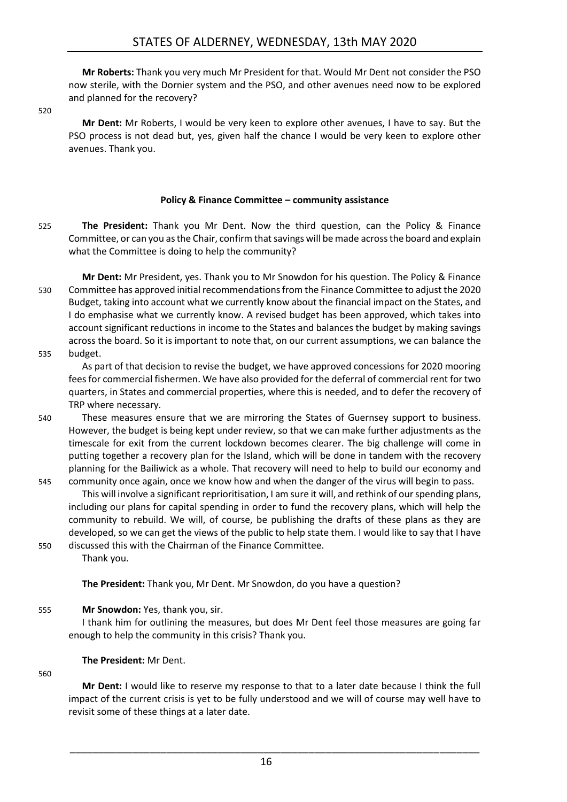**Mr Roberts:** Thank you very much Mr President for that. Would Mr Dent not consider the PSO now sterile, with the Dornier system and the PSO, and other avenues need now to be explored and planned for the recovery?

520

**Mr Dent:** Mr Roberts, I would be very keen to explore other avenues, I have to say. But the PSO process is not dead but, yes, given half the chance I would be very keen to explore other avenues. Thank you.

#### **Policy & Finance Committee – community assistance**

- <span id="page-15-0"></span>525 **The President:** Thank you Mr Dent. Now the third question, can the Policy & Finance Committee, or can you as the Chair, confirm that savings will be made across the board and explain what the Committee is doing to help the community?
- **Mr Dent:** Mr President, yes. Thank you to Mr Snowdon for his question. The Policy & Finance 530 Committee has approved initial recommendations from the Finance Committee to adjust the 2020 Budget, taking into account what we currently know about the financial impact on the States, and I do emphasise what we currently know. A revised budget has been approved, which takes into account significant reductions in income to the States and balances the budget by making savings across the board. So it is important to note that, on our current assumptions, we can balance the 535 budget.
- 

As part of that decision to revise the budget, we have approved concessions for 2020 mooring fees for commercial fishermen. We have also provided for the deferral of commercial rent for two quarters, in States and commercial properties, where this is needed, and to defer the recovery of TRP where necessary.

- 540 These measures ensure that we are mirroring the States of Guernsey support to business. However, the budget is being kept under review, so that we can make further adjustments as the timescale for exit from the current lockdown becomes clearer. The big challenge will come in putting together a recovery plan for the Island, which will be done in tandem with the recovery planning for the Bailiwick as a whole. That recovery will need to help to build our economy and
- 545 community once again, once we know how and when the danger of the virus will begin to pass. This will involve a significant reprioritisation, I am sure it will, and rethink of our spending plans, including our plans for capital spending in order to fund the recovery plans, which will help the community to rebuild. We will, of course, be publishing the drafts of these plans as they are developed, so we can get the views of the public to help state them. I would like to say that I have 550 discussed this with the Chairman of the Finance Committee.
	- Thank you.

**The President:** Thank you, Mr Dent. Mr Snowdon, do you have a question?

#### 555 **Mr Snowdon:** Yes, thank you, sir.

I thank him for outlining the measures, but does Mr Dent feel those measures are going far enough to help the community in this crisis? Thank you.

#### **The President:** Mr Dent.

#### 560

**Mr Dent:** I would like to reserve my response to that to a later date because I think the full impact of the current crisis is yet to be fully understood and we will of course may well have to revisit some of these things at a later date.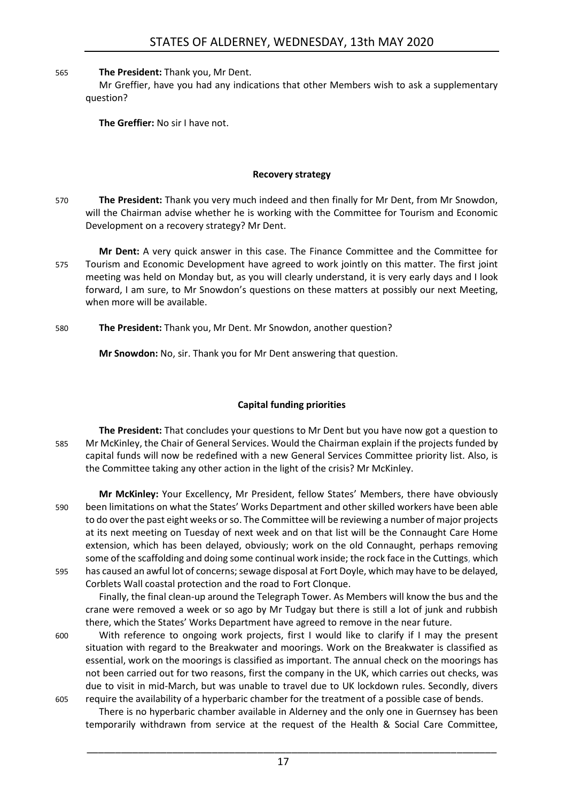565 **The President:** Thank you, Mr Dent.

Mr Greffier, have you had any indications that other Members wish to ask a supplementary question?

**The Greffier:** No sir I have not.

#### **Recovery strategy**

- <span id="page-16-0"></span>570 **The President:** Thank you very much indeed and then finally for Mr Dent, from Mr Snowdon, will the Chairman advise whether he is working with the Committee for Tourism and Economic Development on a recovery strategy? Mr Dent.
- **Mr Dent:** A very quick answer in this case. The Finance Committee and the Committee for 575 Tourism and Economic Development have agreed to work jointly on this matter. The first joint meeting was held on Monday but, as you will clearly understand, it is very early days and I look forward, I am sure, to Mr Snowdon's questions on these matters at possibly our next Meeting, when more will be available.
- 580 **The President:** Thank you, Mr Dent. Mr Snowdon, another question?

**Mr Snowdon:** No, sir. Thank you for Mr Dent answering that question.

#### **Capital funding priorities**

<span id="page-16-1"></span>**The President:** That concludes your questions to Mr Dent but you have now got a question to 585 Mr McKinley, the Chair of General Services. Would the Chairman explain if the projects funded by capital funds will now be redefined with a new General Services Committee priority list. Also, is the Committee taking any other action in the light of the crisis? Mr McKinley.

**Mr McKinley:** Your Excellency, Mr President, fellow States' Members, there have obviously 590 been limitations on what the States' Works Department and other skilled workers have been able to do over the past eight weeks or so. The Committee will be reviewing a number of major projects at its next meeting on Tuesday of next week and on that list will be the Connaught Care Home extension, which has been delayed, obviously; work on the old Connaught, perhaps removing some of the scaffolding and doing some continual work inside; the rock face in the Cuttings, which 595 has caused an awful lot of concerns; sewage disposal at Fort Doyle, which may have to be delayed, Corblets Wall coastal protection and the road to Fort Clonque.

Finally, the final clean-up around the Telegraph Tower. As Members will know the bus and the crane were removed a week or so ago by Mr Tudgay but there is still a lot of junk and rubbish there, which the States' Works Department have agreed to remove in the near future.

600 With reference to ongoing work projects, first I would like to clarify if I may the present situation with regard to the Breakwater and moorings. Work on the Breakwater is classified as essential, work on the moorings is classified as important. The annual check on the moorings has not been carried out for two reasons, first the company in the UK, which carries out checks, was due to visit in mid-March, but was unable to travel due to UK lockdown rules. Secondly, divers 605 require the availability of a hyperbaric chamber for the treatment of a possible case of bends.

There is no hyperbaric chamber available in Alderney and the only one in Guernsey has been temporarily withdrawn from service at the request of the Health & Social Care Committee,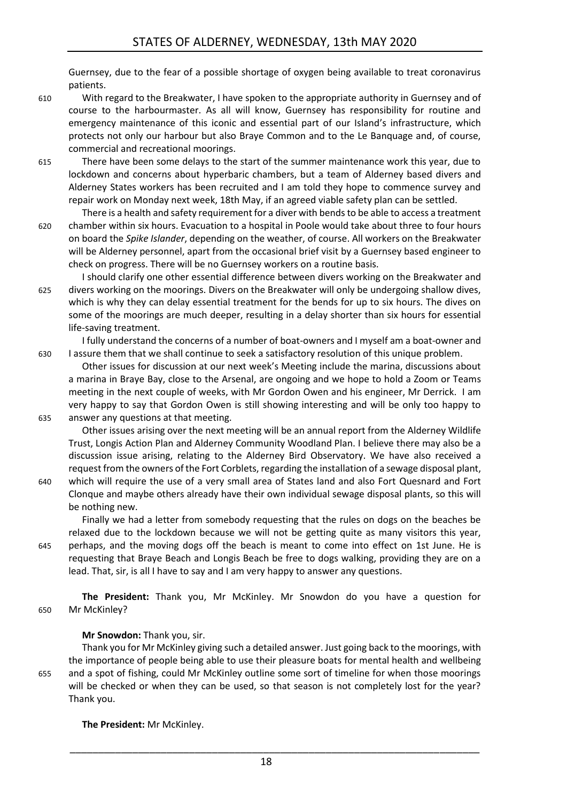Guernsey, due to the fear of a possible shortage of oxygen being available to treat coronavirus patients.

- 610 With regard to the Breakwater, I have spoken to the appropriate authority in Guernsey and of course to the harbourmaster. As all will know, Guernsey has responsibility for routine and emergency maintenance of this iconic and essential part of our Island's infrastructure, which protects not only our harbour but also Braye Common and to the Le Banquage and, of course, commercial and recreational moorings.
- 615 There have been some delays to the start of the summer maintenance work this year, due to lockdown and concerns about hyperbaric chambers, but a team of Alderney based divers and Alderney States workers has been recruited and I am told they hope to commence survey and repair work on Monday next week, 18th May, if an agreed viable safety plan can be settled.
- There is a health and safety requirement for a diver with bends to be able to access a treatment 620 chamber within six hours. Evacuation to a hospital in Poole would take about three to four hours on board the *Spike Islander*, depending on the weather, of course. All workers on the Breakwater will be Alderney personnel, apart from the occasional brief visit by a Guernsey based engineer to check on progress. There will be no Guernsey workers on a routine basis.
- I should clarify one other essential difference between divers working on the Breakwater and 625 divers working on the moorings. Divers on the Breakwater will only be undergoing shallow dives, which is why they can delay essential treatment for the bends for up to six hours. The dives on some of the moorings are much deeper, resulting in a delay shorter than six hours for essential life-saving treatment.

I fully understand the concerns of a number of boat-owners and I myself am a boat-owner and 630 I assure them that we shall continue to seek a satisfactory resolution of this unique problem.

Other issues for discussion at our next week's Meeting include the marina, discussions about a marina in Braye Bay, close to the Arsenal, are ongoing and we hope to hold a Zoom or Teams meeting in the next couple of weeks, with Mr Gordon Owen and his engineer, Mr Derrick. I am very happy to say that Gordon Owen is still showing interesting and will be only too happy to 635 answer any questions at that meeting.

- Other issues arising over the next meeting will be an annual report from the Alderney Wildlife Trust, Longis Action Plan and Alderney Community Woodland Plan. I believe there may also be a discussion issue arising, relating to the Alderney Bird Observatory. We have also received a request from the owners of the Fort Corblets, regarding the installation of a sewage disposal plant,
- 640 which will require the use of a very small area of States land and also Fort Quesnard and Fort Clonque and maybe others already have their own individual sewage disposal plants, so this will be nothing new.

Finally we had a letter from somebody requesting that the rules on dogs on the beaches be relaxed due to the lockdown because we will not be getting quite as many visitors this year, 645 perhaps, and the moving dogs off the beach is meant to come into effect on 1st June. He is requesting that Braye Beach and Longis Beach be free to dogs walking, providing they are on a lead. That, sir, is all I have to say and I am very happy to answer any questions.

**The President:** Thank you, Mr McKinley. Mr Snowdon do you have a question for 650 Mr McKinley?

#### **Mr Snowdon:** Thank you, sir.

Thank you for Mr McKinley giving such a detailed answer. Just going back to the moorings, with the importance of people being able to use their pleasure boats for mental health and wellbeing 655 and a spot of fishing, could Mr McKinley outline some sort of timeline for when those moorings will be checked or when they can be used, so that season is not completely lost for the year? Thank you.

**The President:** Mr McKinley.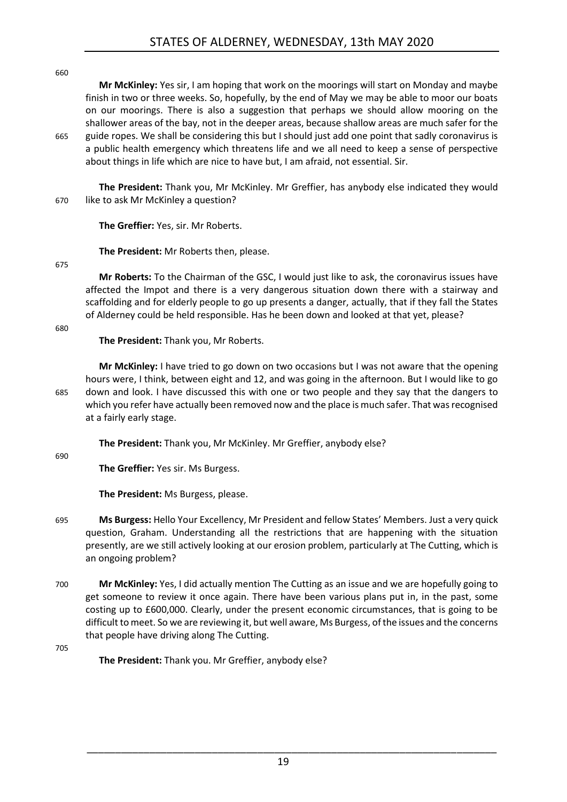660

**Mr McKinley:** Yes sir, I am hoping that work on the moorings will start on Monday and maybe finish in two or three weeks. So, hopefully, by the end of May we may be able to moor our boats on our moorings. There is also a suggestion that perhaps we should allow mooring on the shallower areas of the bay, not in the deeper areas, because shallow areas are much safer for the 665 guide ropes. We shall be considering this but I should just add one point that sadly coronavirus is a public health emergency which threatens life and we all need to keep a sense of perspective about things in life which are nice to have but, I am afraid, not essential. Sir.

**The President:** Thank you, Mr McKinley. Mr Greffier, has anybody else indicated they would 670 like to ask Mr McKinley a question?

**The Greffier:** Yes, sir. Mr Roberts.

**The President:** Mr Roberts then, please.

675

**Mr Roberts:** To the Chairman of the GSC, I would just like to ask, the coronavirus issues have affected the Impot and there is a very dangerous situation down there with a stairway and scaffolding and for elderly people to go up presents a danger, actually, that if they fall the States of Alderney could be held responsible. Has he been down and looked at that yet, please?

680

**The President:** Thank you, Mr Roberts.

**Mr McKinley:** I have tried to go down on two occasions but I was not aware that the opening hours were, I think, between eight and 12, and was going in the afternoon. But I would like to go 685 down and look. I have discussed this with one or two people and they say that the dangers to which you refer have actually been removed now and the place is much safer. That was recognised at a fairly early stage.

**The President:** Thank you, Mr McKinley. Mr Greffier, anybody else?

690

**The Greffier:** Yes sir. Ms Burgess.

**The President:** Ms Burgess, please.

- 695 **Ms Burgess:** Hello Your Excellency, Mr President and fellow States' Members. Just a very quick question, Graham. Understanding all the restrictions that are happening with the situation presently, are we still actively looking at our erosion problem, particularly at The Cutting, which is an ongoing problem?
- 700 **Mr McKinley:** Yes, I did actually mention The Cutting as an issue and we are hopefully going to get someone to review it once again. There have been various plans put in, in the past, some costing up to £600,000. Clearly, under the present economic circumstances, that is going to be difficult to meet. So we are reviewing it, but well aware, Ms Burgess, of the issues and the concerns that people have driving along The Cutting.

705

**The President:** Thank you. Mr Greffier, anybody else?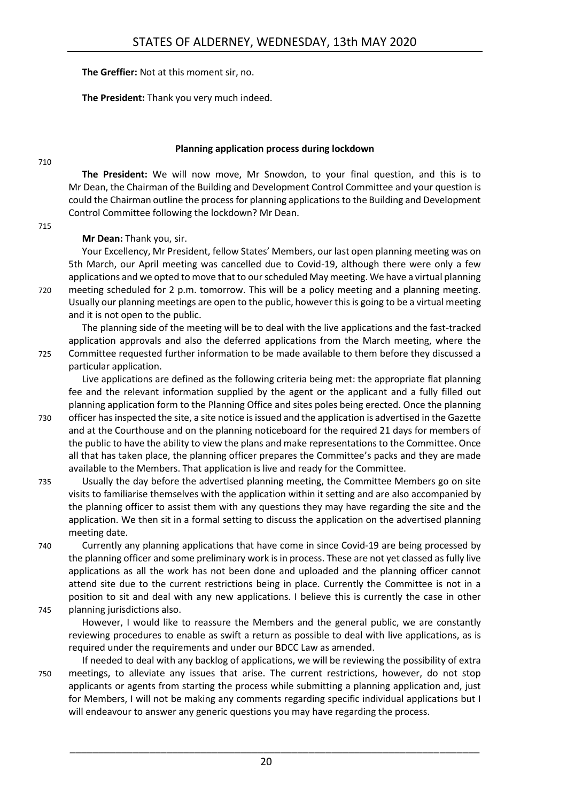**The Greffier:** Not at this moment sir, no.

**The President:** Thank you very much indeed.

710

#### **Planning application process during lockdown**

<span id="page-19-0"></span>**The President:** We will now move, Mr Snowdon, to your final question, and this is to Mr Dean, the Chairman of the Building and Development Control Committee and your question is could the Chairman outline the process for planning applications to the Building and Development Control Committee following the lockdown? Mr Dean.

715

#### **Mr Dean:** Thank you, sir.

Your Excellency, Mr President, fellow States' Members, our last open planning meeting was on 5th March, our April meeting was cancelled due to Covid-19, although there were only a few applications and we opted to move that to our scheduled May meeting. We have a virtual planning 720 meeting scheduled for 2 p.m. tomorrow. This will be a policy meeting and a planning meeting. Usually our planning meetings are open to the public, however this is going to be a virtual meeting and it is not open to the public.

The planning side of the meeting will be to deal with the live applications and the fast-tracked application approvals and also the deferred applications from the March meeting, where the 725 Committee requested further information to be made available to them before they discussed a

particular application.

Live applications are defined as the following criteria being met: the appropriate flat planning fee and the relevant information supplied by the agent or the applicant and a fully filled out planning application form to the Planning Office and sites poles being erected. Once the planning

- 730 officer has inspected the site, a site notice is issued and the application is advertised in the Gazette and at the Courthouse and on the planning noticeboard for the required 21 days for members of the public to have the ability to view the plans and make representations to the Committee. Once all that has taken place, the planning officer prepares the Committee's packs and they are made available to the Members. That application is live and ready for the Committee.
- 735 Usually the day before the advertised planning meeting, the Committee Members go on site visits to familiarise themselves with the application within it setting and are also accompanied by the planning officer to assist them with any questions they may have regarding the site and the application. We then sit in a formal setting to discuss the application on the advertised planning meeting date.
- 740 Currently any planning applications that have come in since Covid-19 are being processed by the planning officer and some preliminary work is in process. These are not yet classed as fully live applications as all the work has not been done and uploaded and the planning officer cannot attend site due to the current restrictions being in place. Currently the Committee is not in a position to sit and deal with any new applications. I believe this is currently the case in other 745 planning jurisdictions also.
- 

However, I would like to reassure the Members and the general public, we are constantly reviewing procedures to enable as swift a return as possible to deal with live applications, as is required under the requirements and under our BDCC Law as amended.

If needed to deal with any backlog of applications, we will be reviewing the possibility of extra 750 meetings, to alleviate any issues that arise. The current restrictions, however, do not stop applicants or agents from starting the process while submitting a planning application and, just for Members, I will not be making any comments regarding specific individual applications but I will endeavour to answer any generic questions you may have regarding the process.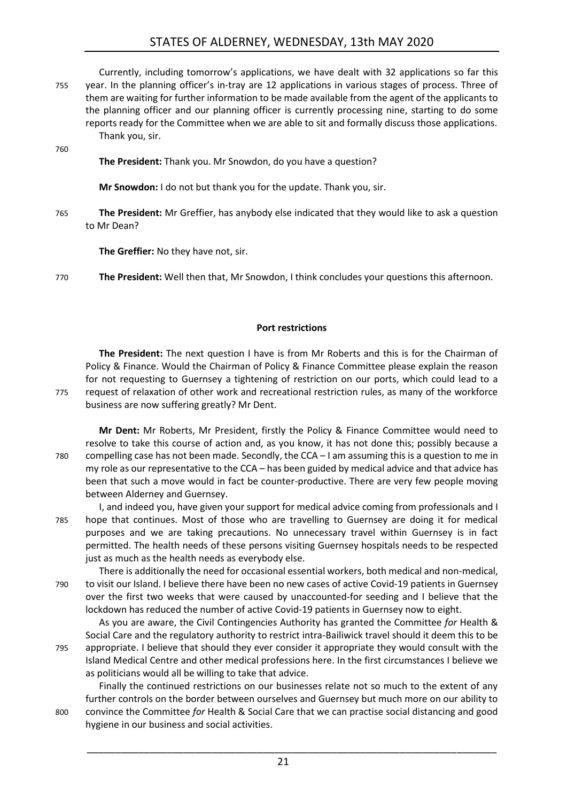## STATES OF ALDERNEY, WEDNESDAY, 13th MAY 2020

|     | Currently, including tomorrow's applications, we have dealt with 32 applications so far this       |
|-----|----------------------------------------------------------------------------------------------------|
| 755 | year. In the planning officer's in-tray are 12 applications in various stages of process. Three of |
|     | them are waiting for further information to be made available from the agent of the applicants to  |
|     | the planning officer and our planning officer is currently processing nine, starting to do some    |
|     | reports ready for the Committee when we are able to sit and formally discuss those applications.   |
|     | Thank you, sir.                                                                                    |
| 760 |                                                                                                    |
|     | The President: Thank you. Mr Snowdon, do you have a question?                                      |
|     |                                                                                                    |
|     | Mr Snowdon: I do not but thank you for the update. Thank you, sir.                                 |
|     |                                                                                                    |
| 765 | The President: Mr Greffier, has anybody else indicated that they would like to ask a question      |
|     | to Mr Dean?                                                                                        |
|     |                                                                                                    |
|     | <b>The Greffier:</b> No they have not, sir.                                                        |

770 **The President:** Well then that, Mr Snowdon, I think concludes your questions this afternoon.

#### **Port restrictions**

<span id="page-20-0"></span>**The President:** The next question I have is from Mr Roberts and this is for the Chairman of Policy & Finance. Would the Chairman of Policy & Finance Committee please explain the reason for not requesting to Guernsey a tightening of restriction on our ports, which could lead to a 775 request of relaxation of other work and recreational restriction rules, as many of the workforce business are now suffering greatly? Mr Dent.

**Mr Dent:** Mr Roberts, Mr President, firstly the Policy & Finance Committee would need to resolve to take this course of action and, as you know, it has not done this; possibly because a 780 compelling case has not been made. Secondly, the CCA – I am assuming this is a question to me in my role as our representative to the CCA – has been guided by medical advice and that advice has been that such a move would in fact be counter-productive. There are very few people moving between Alderney and Guernsey.

I, and indeed you, have given your support for medical advice coming from professionals and I 785 hope that continues. Most of those who are travelling to Guernsey are doing it for medical purposes and we are taking precautions. No unnecessary travel within Guernsey is in fact permitted. The health needs of these persons visiting Guernsey hospitals needs to be respected just as much as the health needs as everybody else.

There is additionally the need for occasional essential workers, both medical and non-medical, 790 to visit our Island. I believe there have been no new cases of active Covid-19 patients in Guernsey over the first two weeks that were caused by unaccounted-for seeding and I believe that the lockdown has reduced the number of active Covid-19 patients in Guernsey now to eight.

As you are aware, the Civil Contingencies Authority has granted the Committee *for* Health & Social Care and the regulatory authority to restrict intra-Bailiwick travel should it deem this to be 795 appropriate. I believe that should they ever consider it appropriate they would consult with the Island Medical Centre and other medical professions here. In the first circumstances I believe we as politicians would all be willing to take that advice.

Finally the continued restrictions on our businesses relate not so much to the extent of any further controls on the border between ourselves and Guernsey but much more on our ability to 800 convince the Committee *for* Health & Social Care that we can practise social distancing and good hygiene in our business and social activities.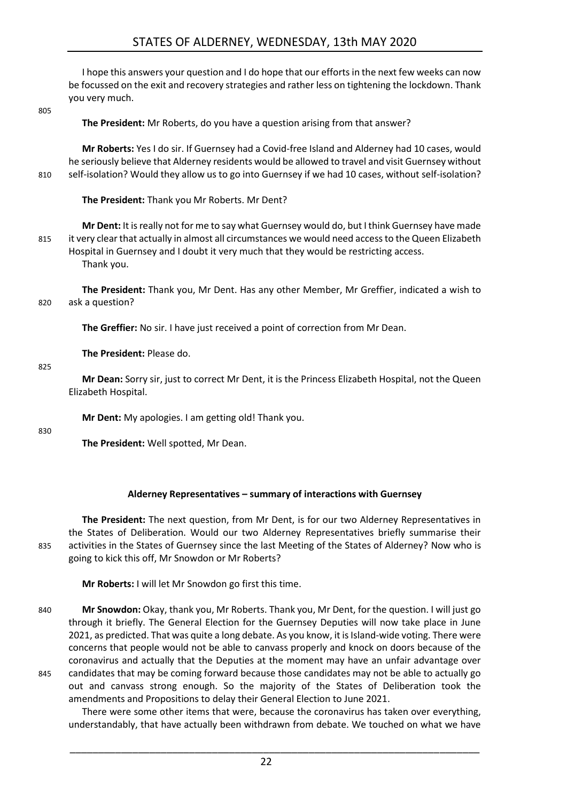# STATES OF ALDERNEY, WEDNESDAY, 13th MAY 2020

I hope this answers your question and I do hope that our efforts in the next few weeks can now be focussed on the exit and recovery strategies and rather less on tightening the lockdown. Thank you very much.

805

**The President:** Mr Roberts, do you have a question arising from that answer?

**Mr Roberts:** Yes I do sir. If Guernsey had a Covid-free Island and Alderney had 10 cases, would he seriously believe that Alderney residents would be allowed to travel and visit Guernsey without 810 self-isolation? Would they allow us to go into Guernsey if we had 10 cases, without self-isolation?

**The President:** Thank you Mr Roberts. Mr Dent?

**Mr Dent:** It is really not for me to say what Guernsey would do, but I think Guernsey have made 815 it very clear that actually in almost all circumstances we would need access to the Queen Elizabeth Hospital in Guernsey and I doubt it very much that they would be restricting access. Thank you.

**The President:** Thank you, Mr Dent. Has any other Member, Mr Greffier, indicated a wish to 820 ask a question?

**The Greffier:** No sir. I have just received a point of correction from Mr Dean.

**The President:** Please do.

#### 825

**Mr Dean:** Sorry sir, just to correct Mr Dent, it is the Princess Elizabeth Hospital, not the Queen Elizabeth Hospital.

**Mr Dent:** My apologies. I am getting old! Thank you.

#### 830

**The President:** Well spotted, Mr Dean.

#### **Alderney Representatives – summary of interactions with Guernsey**

<span id="page-21-0"></span>**The President:** The next question, from Mr Dent, is for our two Alderney Representatives in the States of Deliberation. Would our two Alderney Representatives briefly summarise their 835 activities in the States of Guernsey since the last Meeting of the States of Alderney? Now who is going to kick this off, Mr Snowdon or Mr Roberts?

**Mr Roberts:** I will let Mr Snowdon go first this time.

840 **Mr Snowdon:** Okay, thank you, Mr Roberts. Thank you, Mr Dent, for the question. I will just go through it briefly. The General Election for the Guernsey Deputies will now take place in June 2021, as predicted. That was quite a long debate. As you know, it is Island-wide voting. There were concerns that people would not be able to canvass properly and knock on doors because of the coronavirus and actually that the Deputies at the moment may have an unfair advantage over 845 candidates that may be coming forward because those candidates may not be able to actually go out and canvass strong enough. So the majority of the States of Deliberation took the amendments and Propositions to delay their General Election to June 2021.

There were some other items that were, because the coronavirus has taken over everything, understandably, that have actually been withdrawn from debate. We touched on what we have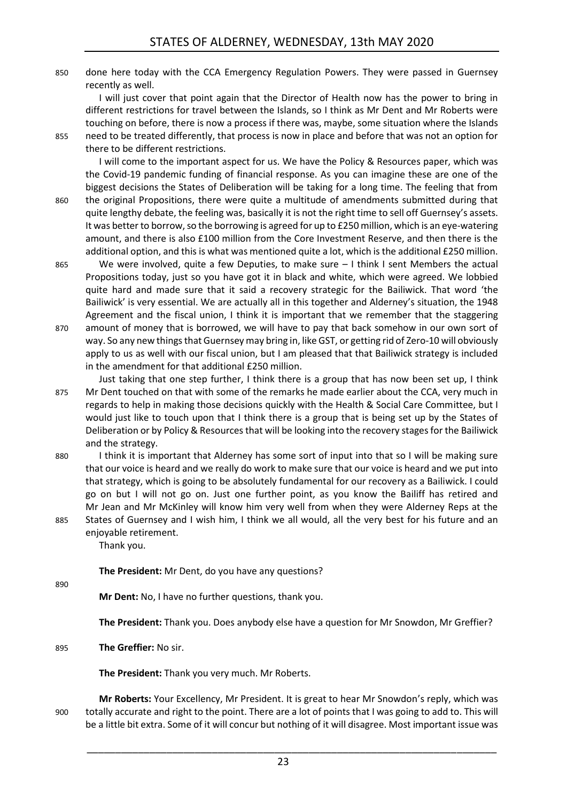850 done here today with the CCA Emergency Regulation Powers. They were passed in Guernsey recently as well.

I will just cover that point again that the Director of Health now has the power to bring in different restrictions for travel between the Islands, so I think as Mr Dent and Mr Roberts were touching on before, there is now a process if there was, maybe, some situation where the Islands 855 need to be treated differently, that process is now in place and before that was not an option for there to be different restrictions.

I will come to the important aspect for us. We have the Policy & Resources paper, which was the Covid-19 pandemic funding of financial response. As you can imagine these are one of the biggest decisions the States of Deliberation will be taking for a long time. The feeling that from 860 the original Propositions, there were quite a multitude of amendments submitted during that quite lengthy debate, the feeling was, basically it is not the right time to sell off Guernsey's assets. It was better to borrow, so the borrowing is agreed for up to £250 million, which is an eye-watering amount, and there is also £100 million from the Core Investment Reserve, and then there is the additional option, and this is what was mentioned quite a lot, which is the additional £250 million.

- 865 We were involved, quite a few Deputies, to make sure I think I sent Members the actual Propositions today, just so you have got it in black and white, which were agreed. We lobbied quite hard and made sure that it said a recovery strategic for the Bailiwick. That word 'the Bailiwick' is very essential. We are actually all in this together and Alderney's situation, the 1948 Agreement and the fiscal union, I think it is important that we remember that the staggering
- 870 amount of money that is borrowed, we will have to pay that back somehow in our own sort of way. So any new things that Guernsey may bring in, like GST, or getting rid of Zero-10 will obviously apply to us as well with our fiscal union, but I am pleased that that Bailiwick strategy is included in the amendment for that additional £250 million.
- Just taking that one step further, I think there is a group that has now been set up, I think 875 Mr Dent touched on that with some of the remarks he made earlier about the CCA, very much in regards to help in making those decisions quickly with the Health & Social Care Committee, but I would just like to touch upon that I think there is a group that is being set up by the States of Deliberation or by Policy & Resources that will be looking into the recovery stages for the Bailiwick and the strategy.
- 880 I think it is important that Alderney has some sort of input into that so I will be making sure that our voice is heard and we really do work to make sure that our voice is heard and we put into that strategy, which is going to be absolutely fundamental for our recovery as a Bailiwick. I could go on but I will not go on. Just one further point, as you know the Bailiff has retired and Mr Jean and Mr McKinley will know him very well from when they were Alderney Reps at the 885 States of Guernsey and I wish him, I think we all would, all the very best for his future and an

enjoyable retirement.

Thank you.

**The President:** Mr Dent, do you have any questions?

890

**Mr Dent:** No, I have no further questions, thank you.

**The President:** Thank you. Does anybody else have a question for Mr Snowdon, Mr Greffier?

895 **The Greffier:** No sir.

**The President:** Thank you very much. Mr Roberts.

**Mr Roberts:** Your Excellency, Mr President. It is great to hear Mr Snowdon's reply, which was 900 totally accurate and right to the point. There are a lot of points that I was going to add to. This will be a little bit extra. Some of it will concur but nothing of it will disagree. Most important issue was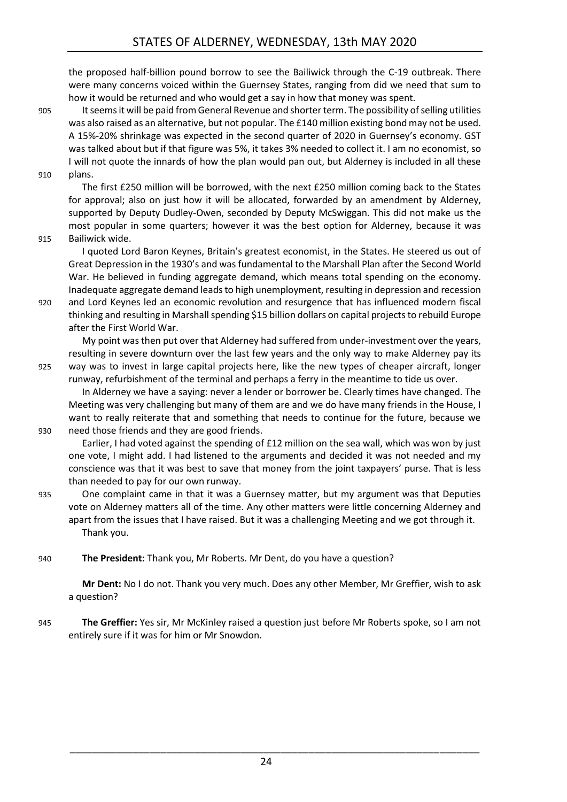the proposed half-billion pound borrow to see the Bailiwick through the C-19 outbreak. There were many concerns voiced within the Guernsey States, ranging from did we need that sum to how it would be returned and who would get a say in how that money was spent.

905 It seems it will be paid from General Revenue and shorter term. The possibility of selling utilities was also raised as an alternative, but not popular. The £140 million existing bond may not be used. A 15%-20% shrinkage was expected in the second quarter of 2020 in Guernsey's economy. GST was talked about but if that figure was 5%, it takes 3% needed to collect it. I am no economist, so I will not quote the innards of how the plan would pan out, but Alderney is included in all these 910 plans.

The first £250 million will be borrowed, with the next £250 million coming back to the States for approval; also on just how it will be allocated, forwarded by an amendment by Alderney, supported by Deputy Dudley-Owen, seconded by Deputy McSwiggan. This did not make us the most popular in some quarters; however it was the best option for Alderney, because it was

915 Bailiwick wide.

I quoted Lord Baron Keynes, Britain's greatest economist, in the States. He steered us out of Great Depression in the 1930's and was fundamental to the Marshall Plan after the Second World War. He believed in funding aggregate demand, which means total spending on the economy. Inadequate aggregate demand leads to high unemployment, resulting in depression and recession

920 and Lord Keynes led an economic revolution and resurgence that has influenced modern fiscal thinking and resulting in Marshall spending \$15 billion dollars on capital projects to rebuild Europe after the First World War.

My point was then put over that Alderney had suffered from under-investment over the years, resulting in severe downturn over the last few years and the only way to make Alderney pay its 925 way was to invest in large capital projects here, like the new types of cheaper aircraft, longer runway, refurbishment of the terminal and perhaps a ferry in the meantime to tide us over.

In Alderney we have a saying: never a lender or borrower be. Clearly times have changed. The Meeting was very challenging but many of them are and we do have many friends in the House, I want to really reiterate that and something that needs to continue for the future, because we 930 need those friends and they are good friends.

Earlier, I had voted against the spending of £12 million on the sea wall, which was won by just one vote, I might add. I had listened to the arguments and decided it was not needed and my conscience was that it was best to save that money from the joint taxpayers' purse. That is less than needed to pay for our own runway.

935 One complaint came in that it was a Guernsey matter, but my argument was that Deputies vote on Alderney matters all of the time. Any other matters were little concerning Alderney and apart from the issues that I have raised. But it was a challenging Meeting and we got through it. Thank you.

940 **The President:** Thank you, Mr Roberts. Mr Dent, do you have a question?

**Mr Dent:** No I do not. Thank you very much. Does any other Member, Mr Greffier, wish to ask a question?

945 **The Greffier:** Yes sir, Mr McKinley raised a question just before Mr Roberts spoke, so I am not entirely sure if it was for him or Mr Snowdon.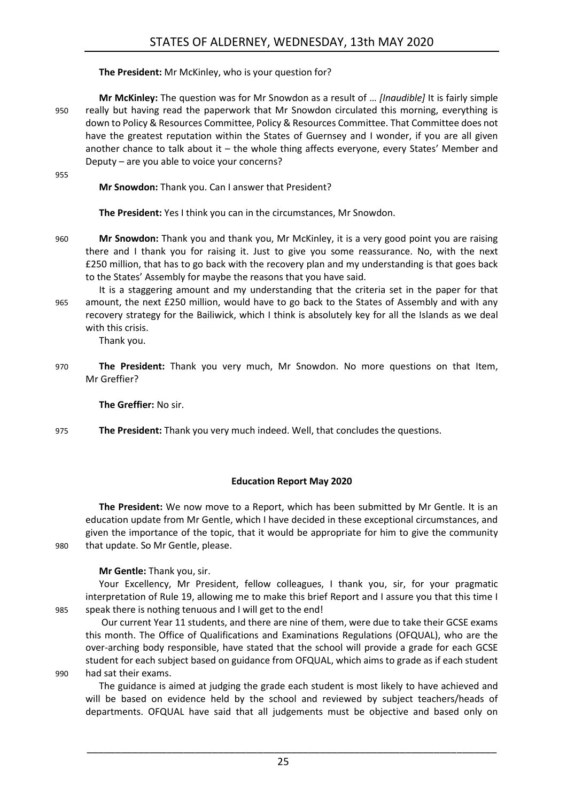**The President:** Mr McKinley, who is your question for?

**Mr McKinley:** The question was for Mr Snowdon as a result of … *[Inaudible]* It is fairly simple 950 really but having read the paperwork that Mr Snowdon circulated this morning, everything is down to Policy & Resources Committee, Policy & Resources Committee. That Committee does not have the greatest reputation within the States of Guernsey and I wonder, if you are all given another chance to talk about it – the whole thing affects everyone, every States' Member and Deputy – are you able to voice your concerns?

955

**Mr Snowdon:** Thank you. Can I answer that President?

**The President:** Yes I think you can in the circumstances, Mr Snowdon.

- 960 **Mr Snowdon:** Thank you and thank you, Mr McKinley, it is a very good point you are raising there and I thank you for raising it. Just to give you some reassurance. No, with the next £250 million, that has to go back with the recovery plan and my understanding is that goes back to the States' Assembly for maybe the reasons that you have said.
- It is a staggering amount and my understanding that the criteria set in the paper for that 965 amount, the next £250 million, would have to go back to the States of Assembly and with any recovery strategy for the Bailiwick, which I think is absolutely key for all the Islands as we deal with this crisis.

Thank you.

970 **The President:** Thank you very much, Mr Snowdon. No more questions on that Item, Mr Greffier?

**The Greffier:** No sir.

975 **The President:** Thank you very much indeed. Well, that concludes the questions.

#### **Education Report May 2020**

<span id="page-24-0"></span>**The President:** We now move to a Report, which has been submitted by Mr Gentle. It is an education update from Mr Gentle, which I have decided in these exceptional circumstances, and given the importance of the topic, that it would be appropriate for him to give the community 980 that update. So Mr Gentle, please.

**Mr Gentle:** Thank you, sir.

Your Excellency, Mr President, fellow colleagues, I thank you, sir, for your pragmatic interpretation of Rule 19, allowing me to make this brief Report and I assure you that this time I 985 speak there is nothing tenuous and I will get to the end!

Our current Year 11 students, and there are nine of them, were due to take their GCSE exams this month. The Office of Qualifications and Examinations Regulations (OFQUAL), who are the over-arching body responsible, have stated that the school will provide a grade for each GCSE student for each subject based on guidance from OFQUAL, which aims to grade as if each student 990 had sat their exams.

The guidance is aimed at judging the grade each student is most likely to have achieved and will be based on evidence held by the school and reviewed by subject teachers/heads of departments. OFQUAL have said that all judgements must be objective and based only on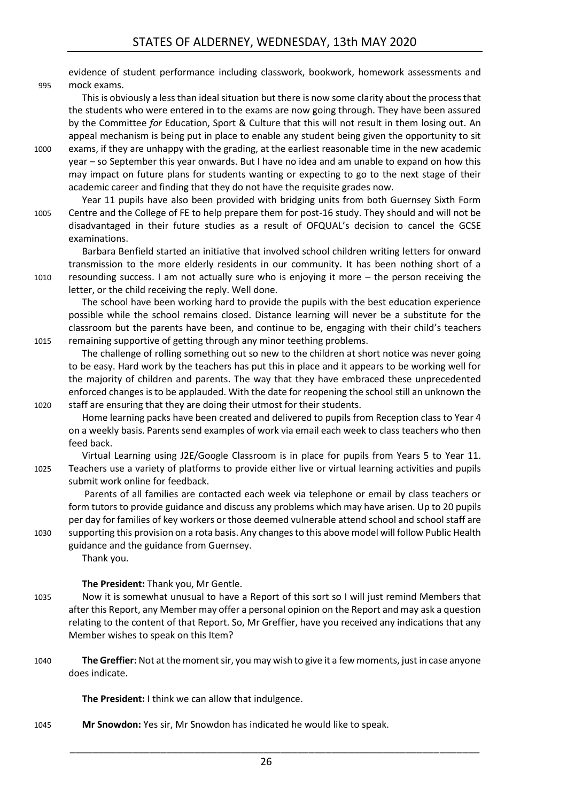evidence of student performance including classwork, bookwork, homework assessments and 995 mock exams.

This is obviously a less than ideal situation but there is now some clarity about the process that the students who were entered in to the exams are now going through. They have been assured by the Committee *for* Education, Sport & Culture that this will not result in them losing out. An appeal mechanism is being put in place to enable any student being given the opportunity to sit

- 1000 exams, if they are unhappy with the grading, at the earliest reasonable time in the new academic year – so September this year onwards. But I have no idea and am unable to expand on how this may impact on future plans for students wanting or expecting to go to the next stage of their academic career and finding that they do not have the requisite grades now.
- Year 11 pupils have also been provided with bridging units from both Guernsey Sixth Form 1005 Centre and the College of FE to help prepare them for post-16 study. They should and will not be disadvantaged in their future studies as a result of OFQUAL's decision to cancel the GCSE examinations.

Barbara Benfield started an initiative that involved school children writing letters for onward transmission to the more elderly residents in our community. It has been nothing short of a 1010 resounding success. I am not actually sure who is enjoying it more – the person receiving the letter, or the child receiving the reply. Well done.

The school have been working hard to provide the pupils with the best education experience possible while the school remains closed. Distance learning will never be a substitute for the classroom but the parents have been, and continue to be, engaging with their child's teachers 1015 remaining supportive of getting through any minor teething problems.

The challenge of rolling something out so new to the children at short notice was never going to be easy. Hard work by the teachers has put this in place and it appears to be working well for the majority of children and parents. The way that they have embraced these unprecedented enforced changes is to be applauded. With the date for reopening the school still an unknown the 1020 staff are ensuring that they are doing their utmost for their students.

- Home learning packs have been created and delivered to pupils from Reception class to Year 4 on a weekly basis. Parents send examples of work via email each week to class teachers who then feed back.
- Virtual Learning using J2E/Google Classroom is in place for pupils from Years 5 to Year 11. 1025 Teachers use a variety of platforms to provide either live or virtual learning activities and pupils submit work online for feedback.

Parents of all families are contacted each week via telephone or email by class teachers or form tutors to provide guidance and discuss any problems which may have arisen. Up to 20 pupils per day for families of key workers or those deemed vulnerable attend school and school staff are 1030 supporting this provision on a rota basis. Any changes to this above model will follow Public Health guidance and the guidance from Guernsey.

Thank you.

#### **The President:** Thank you, Mr Gentle.

- 1035 Now it is somewhat unusual to have a Report of this sort so I will just remind Members that after this Report, any Member may offer a personal opinion on the Report and may ask a question relating to the content of that Report. So, Mr Greffier, have you received any indications that any Member wishes to speak on this Item?
- 1040 **The Greffier:** Not at the moment sir, you may wish to give it a few moments, just in case anyone does indicate.

**The President:** I think we can allow that indulgence.

1045 **Mr Snowdon:** Yes sir, Mr Snowdon has indicated he would like to speak.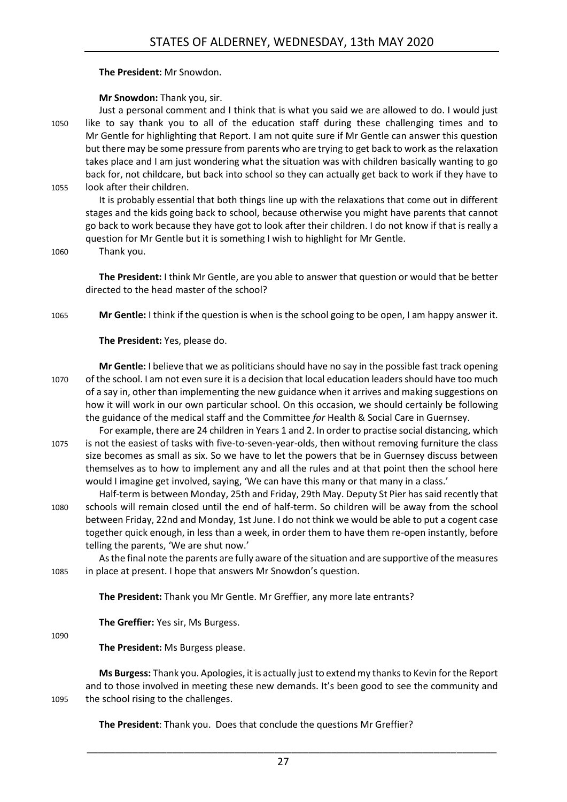#### **The President:** Mr Snowdon.

#### **Mr Snowdon:** Thank you, sir.

Just a personal comment and I think that is what you said we are allowed to do. I would just 1050 like to say thank you to all of the education staff during these challenging times and to Mr Gentle for highlighting that Report. I am not quite sure if Mr Gentle can answer this question but there may be some pressure from parents who are trying to get back to work as the relaxation takes place and I am just wondering what the situation was with children basically wanting to go back for, not childcare, but back into school so they can actually get back to work if they have to 1055 look after their children.

It is probably essential that both things line up with the relaxations that come out in different stages and the kids going back to school, because otherwise you might have parents that cannot go back to work because they have got to look after their children. I do not know if that is really a question for Mr Gentle but it is something I wish to highlight for Mr Gentle.

1060 Thank you.

**The President:** I think Mr Gentle, are you able to answer that question or would that be better directed to the head master of the school?

1065 **Mr Gentle:** I think if the question is when is the school going to be open, I am happy answer it.

**The President:** Yes, please do.

**Mr Gentle:** I believe that we as politicians should have no say in the possible fast track opening 1070 of the school. I am not even sure it is a decision that local education leaders should have too much of a say in, other than implementing the new guidance when it arrives and making suggestions on how it will work in our own particular school. On this occasion, we should certainly be following the guidance of the medical staff and the Committee *for* Health & Social Care in Guernsey.

For example, there are 24 children in Years 1 and 2. In order to practise social distancing, which 1075 is not the easiest of tasks with five-to-seven-year-olds, then without removing furniture the class size becomes as small as six. So we have to let the powers that be in Guernsey discuss between themselves as to how to implement any and all the rules and at that point then the school here would I imagine get involved, saying, 'We can have this many or that many in a class.'

Half-term is between Monday, 25th and Friday, 29th May. Deputy St Pier has said recently that 1080 schools will remain closed until the end of half-term. So children will be away from the school between Friday, 22nd and Monday, 1st June. I do not think we would be able to put a cogent case together quick enough, in less than a week, in order them to have them re-open instantly, before telling the parents, 'We are shut now.'

As the final note the parents are fully aware of the situation and are supportive of the measures 1085 in place at present. I hope that answers Mr Snowdon's question.

**The President:** Thank you Mr Gentle. Mr Greffier, any more late entrants?

**The Greffier:** Yes sir, Ms Burgess.

1090

**The President:** Ms Burgess please.

**Ms Burgess:** Thank you. Apologies, it is actually just to extend my thanks to Kevin for the Report and to those involved in meeting these new demands. It's been good to see the community and 1095 the school rising to the challenges.

**The President**: Thank you. Does that conclude the questions Mr Greffier?